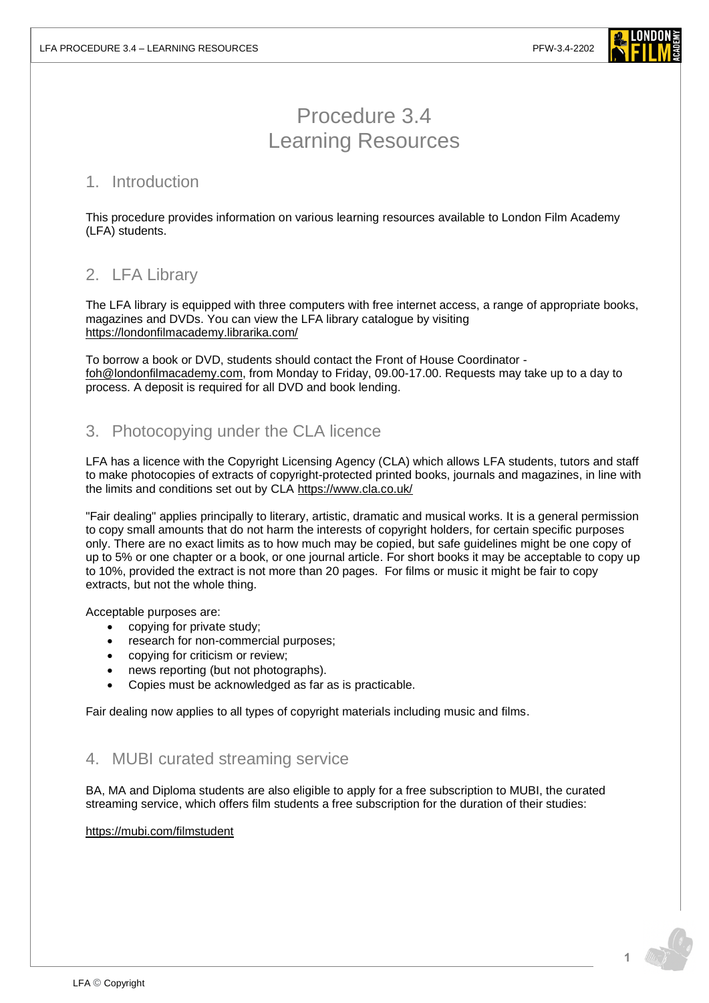

# Procedure 3.4 Learning Resources

### 1. Introduction

This procedure provides information on various learning resources available to London Film Academy (LFA) students.

## 2. LFA Library

The LFA library is equipped with three computers with free internet access, a range of appropriate books, magazines and DVDs. You can view the LFA library catalogue by visiting <https://londonfilmacademy.librarika.com/>

To borrow a book or DVD, students should contact the Front of House Coordinator [foh@londonfilmacademy.com,](mailto:foh@londonfilmacademy.com) from Monday to Friday, 09.00-17.00. Requests may take up to a day to process. A deposit is required for all DVD and book lending.

### 3. Photocopying under the CLA licence

LFA has a licence with the Copyright Licensing Agency (CLA) which allows LFA students, tutors and staff to make photocopies of extracts of copyright-protected printed books, journals and magazines, in line with the limits and conditions set out by CLA <https://www.cla.co.uk/>

"Fair dealing" applies principally to literary, artistic, dramatic and musical works. It is a general permission to copy small amounts that do not harm the interests of copyright holders, for certain specific purposes only. There are no exact limits as to how much may be copied, but safe guidelines might be one copy of up to 5% or one chapter or a book, or one journal article. For short books it may be acceptable to copy up to 10%, provided the extract is not more than 20 pages. For films or music it might be fair to copy extracts, but not the whole thing.

Acceptable purposes are:

- copying for private study;
- research for non-commercial purposes:
- copying for criticism or review;
- news reporting (but not photographs).
- Copies must be acknowledged as far as is practicable.

Fair dealing now applies to all types of copyright materials including music and films.

### 4. MUBI curated streaming service

BA, MA and Diploma students are also eligible to apply for a free subscription to MUBI, the curated streaming service, which offers film students a free subscription for the duration of their studies:

### <https://mubi.com/filmstudent>